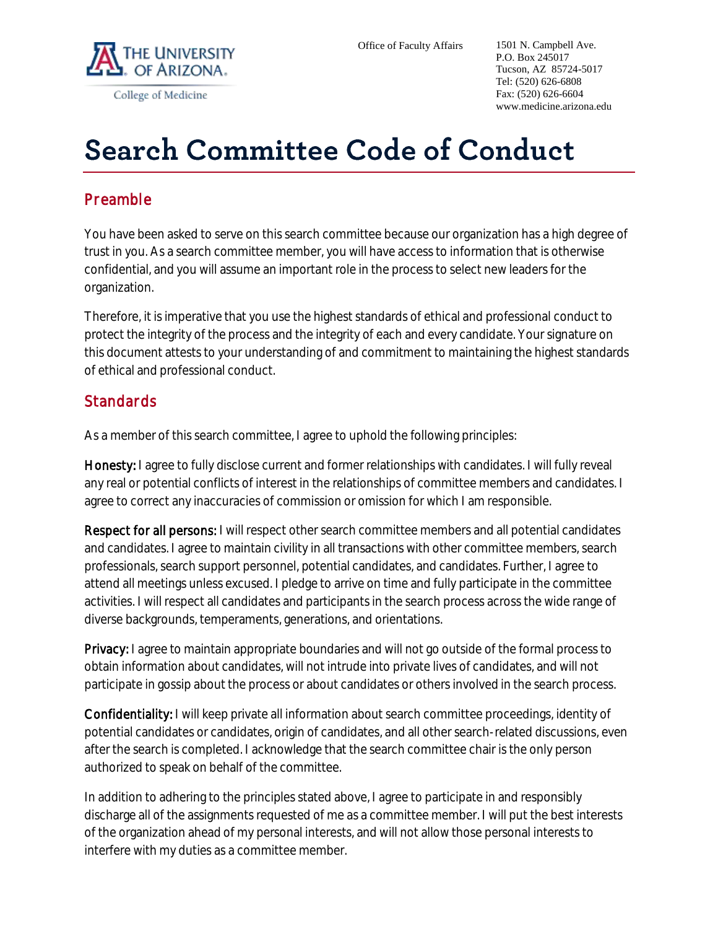

## **Search Committee Code of Conduct**

## **Preamble**

You have been asked to serve on this search committee because our organization has a high degree of trust in you. As a search committee member, you will have access to information that is otherwise confidential, and you will assume an important role in the process to select new leaders for the organization.

Therefore, it is imperative that you use the highest standards of ethical and professional conduct to protect the integrity of the process and the integrity of each and every candidate. Your signature on this document attests to your understanding of and commitment to maintaining the highest standards of ethical and professional conduct.

## **Standards**

As a member of this search committee, I agree to uphold the following principles:

Honesty: I agree to fully disclose current and former relationships with candidates. I will fully reveal any real or potential conflicts of interest in the relationships of committee members and candidates. I agree to correct any inaccuracies of commission or omission for which I am responsible.

Respect for all persons: I will respect other search committee members and all potential candidates and candidates. I agree to maintain civility in all transactions with other committee members, search professionals, search support personnel, potential candidates, and candidates. Further, I agree to attend all meetings unless excused. I pledge to arrive on time and fully participate in the committee activities. I will respect all candidates and participants in the search process across the wide range of diverse backgrounds, temperaments, generations, and orientations.

Privacy: I agree to maintain appropriate boundaries and will not go outside of the formal process to obtain information about candidates, will not intrude into private lives of candidates, and will not participate in gossip about the process or about candidates or others involved in the search process.

Confidentiality: I will keep private all information about search committee proceedings, identity of potential candidates or candidates, origin of candidates, and all other search-related discussions, even after the search is completed. I acknowledge that the search committee chair is the only person authorized to speak on behalf of the committee.

In addition to adhering to the principles stated above, I agree to participate in and responsibly discharge all of the assignments requested of me as a committee member. I will put the best interests of the organization ahead of my personal interests, and will not allow those personal interests to interfere with my duties as a committee member.